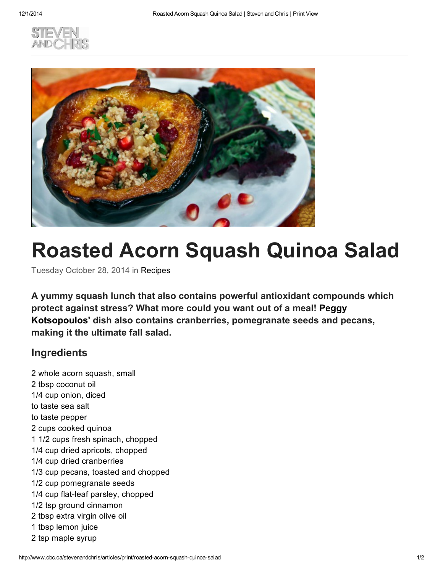



## Roasted Acorn Squash Quinoa Salad

Tuesday October 28, 2014 in [Recipes](http://www.cbc.ca/stevenandchris/archive/category/recipes)

A yummy squash lunch that also contains powerful antioxidant compounds which protect against stress? What more could you want out of a meal! Peggy [Kotsopoulos'](http://www.cbc.ca/stevenandchris/experts/peggy-kotsopoulos) dish also contains cranberries, pomegranate seeds and pecans, making it the ultimate fall salad.

## Ingredients

2 whole acorn squash, small 2 tbsp coconut oil 1/4 cup onion, diced to taste sea salt to taste pepper 2 cups cooked quinoa 1 1/2 cups fresh spinach, chopped 1/4 cup dried apricots, chopped 1/4 cup dried cranberries 1/3 cup pecans, toasted and chopped 1/2 cup pomegranate seeds 1/4 cup flat-leaf parsley, chopped 1/2 tsp ground cinnamon 2 tbsp extra virgin olive oil 1 tbsp lemon juice 2 tsp maple syrup